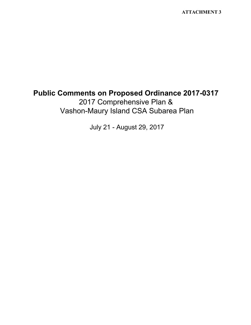**ATTACHMENT 3**

## **Public Comments on Proposed Ordinance 2017-0317** 2017 Comprehensive Plan & Vashon-Maury Island CSA Subarea Plan

July 21 - August 29, 2017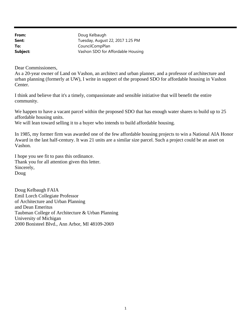| From:    | Doug Kelbaugh                     |
|----------|-----------------------------------|
| Sent:    | Tuesday, August 22, 2017 1:25 PM  |
| To:      | CouncilCompPlan                   |
| Subject: | Vashon SDO for Affordable Housing |

Dear Commissioners,

As a 20-year owner of Land on Vashon, an architect and urban planner, and a professor of architecture and urban planning (formerly at UW), I write in support of the proposed SDO for affordable housing in Vashon Center.

I think and believe that it's a timely, compassionate and sensible initiative that will benefit the entire community.

We happen to have a vacant parcel within the proposed SDO that has enough water shares to build up to 25 affordable housing units.

We will lean toward selling it to a buyer who intends to build affordable housing.

In 1985, my former firm was awarded one of the few affordable housing projects to win a National AIA Honor Award in the last half-century. It was 21 units are a similar size parcel. Such a project could be an asset on Vashon.

I hope you see fit to pass this ordinance. Thank you for all attention given this letter. Sincerely, Doug

Doug Kelbaugh FAIA Emil Lorch Collegiate Professor of Architecture and Urban Planning and Dean Emeritus Taubman College of Architecture & Urban Planning University of Michigan 2000 Bonisteel Blvd., Ann Arbor, MI 48109-2069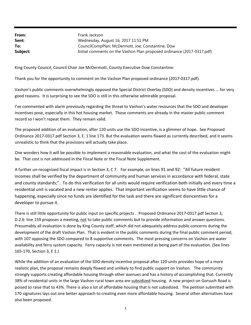**From: Sent: To: Subject:** Frank Jackson Wednesday, August 16, 2017 11:51 PM CouncilCompPlan; McDermott, Joe; Constantine, Dow Initial comments on the Vashon Plan proposed ordinance (2017-0317.pdf)

King County Council, Council Chair Joe McDermott, County Executive Dow Constantine:

Thank you for the opportunity to comment on the Vashon Plan proposed ordinance (2017‐0317.pdf).

Vashon's public comments overwhelmingly opposed the Special District Overlay (SDO) and density incentives ... for very good reasons. It is surprising to see the SDO is still in this otherwise admirable proposal.

I've commented with alarm previously regarding the threat to Vashon's water resources that the SDO and developer incentives pose, especially in this hot housing market. Those comments are already in the master public comment record so I won't repeat them. They remain valid.

The proposed addition of an evaluation, after 120 units use the SDO incentive, is a glimmer of hope. See Proposed Ordinance 2017‐0317.pdf Section 3, E. 1 line 173. But the evaluation seems flawed as currently described, and it seems unrealistic to think that the provisions will actually take place.

One wonders how it will be possible to implement a reasonable evaluation, and what the cost of the evaluation might be. That cost is not addressed in the Fiscal Note or the Fiscal Note Supplement.

A further un-recognized fiscal impact is in Section 3, C 7. For example, on lines 91 and 92: "All future resident incomes shall be verified by the department of community and human services in accordance with federal, state and county standards;". To do this verification for all units would require verification both initially and every time a residential unit is vacated and a new renter applies. That important verification seems to have little chance of happening, especially since no funds are identified for the task and there are significant disincentives for a developer to pursue it.

There is still little opportunity for public input on specific projects . Proposed Ordinance 2017‐0317.pdf Section 3, D.2.b line 159 proposes a meeting, not to take public comments but to provide information and answer questions. Presumably all evaluation is done by King County staff, which did not adequately address public concerns during the development of the draft Vashon Plan. That is evident in the public comments during the final public comment period, with 107 opposing the SDO compared to 8 supportive comments. The most pressing concerns on Vashon are water availability and ferry system capacity. Ferry capacity is not even mentioned as being part of the evaluation. (See lines 165‐170, Section 3, E 1.)

While the addition of an evaluation of the SDO density incentive proposal after 120 units provides hope of a more realistic plan, the proposal remains deeply flawed and unlikely to find public support on Vashon. The community strongly supports creating affordable housing through other avenues and has a history of accomplishing that. Currently 38% of residential units in the large Vashon rural town area are subsidized housing. A new project on Gorsuch Road is poised to raise that to 43%. There is also a lot of affordable housing that is not subsidized. The petition submitted with 170 signatures lays out one better approach to creating even more affordable housing. Several other alternatives have also been proposed.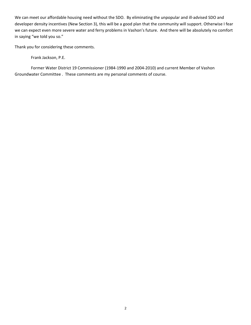We can meet our affordable housing need without the SDO. By eliminating the unpopular and ill-advised SDO and developer density incentives (New Section 3), this will be a good plan that the community will support. Otherwise I fear we can expect even more severe water and ferry problems in Vashon's future. And there will be absolutely no comfort in saying "we told you so."

Thank you for considering these comments.

Frank Jackson, P.E.

 Former Water District 19 Commissioner (1984‐1990 and 2004‐2010) and current Member of Vashon Groundwater Committee . These comments are my personal comments of course.